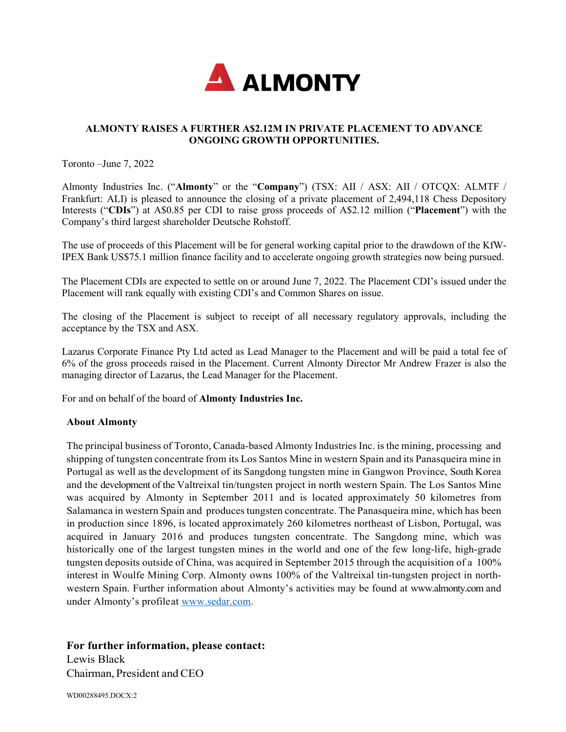

## **ALMONTY RAISES A FURTHER A\$2.12M IN PRIVATE PLACEMENT TO ADVANCE ONGOING GROWTH OPPORTUNITIES.**

Toronto –June 7, 2022

Almonty Industries Inc. ("**Almonty**" or the "**Company**") (TSX: AII / ASX: AII / OTCQX: ALMTF / Frankfurt: ALI) is pleased to announce the closing of a private placement of 2,494,118 Chess Depository Interests ("**CDIs**") at A\$0.85 per CDI to raise gross proceeds of A\$2.12 million ("**Placement**") with the Company's third largest shareholder Deutsche Rohstoff.

The use of proceeds of this Placement will be for general working capital prior to the drawdown of the KfW-IPEX Bank US\$75.1 million finance facility and to accelerate ongoing growth strategies now being pursued.

The Placement CDIs are expected to settle on or around June 7, 2022. The Placement CDI's issued under the Placement will rank equally with existing CDI's and Common Shares on issue.

The closing of the Placement is subject to receipt of all necessary regulatory approvals, including the acceptance by the TSX and ASX.

Lazarus Corporate Finance Pty Ltd acted as Lead Manager to the Placement and will be paid a total fee of 6% of the gross proceeds raised in the Placement. Current Almonty Director Mr Andrew Frazer is also the managing director of Lazarus, the Lead Manager for the Placement.

For and on behalf of the board of **Almonty Industries Inc.**

## **About Almonty**

The principal business of Toronto, Canada-based Almonty Industries Inc. is the mining, processing and shipping of tungsten concentrate from its Los Santos Mine in western Spain and its Panasqueira mine in Portugal as well asthe development of its Sangdong tungsten mine in Gangwon Province, South Korea and the development of the Valtreixal tin/tungsten project in north western Spain. The Los Santos Mine was acquired by Almonty in September 2011 and is located approximately 50 kilometres from Salamanca in western Spain and produces tungsten concentrate. The Panasqueira mine, which has been in production since 1896, is located approximately 260 kilometres northeast of Lisbon, Portugal, was acquired in January 2016 and produces tungsten concentrate. The Sangdong mine, which was historically one of the largest tungsten mines in the world and one of the few long-life, high-grade tungsten deposits outside of China, was acquired in September 2015 through the acquisition of a 100% interest in Woulfe Mining Corp. Almonty owns 100% of the Valtreixal tin-tungsten project in northwestern Spain. Further information about Almonty's activities may be found at [www.almonty.com a](http://www.almonty.com/)nd under Almonty's profileat [www.sedar.com.](http://www.sedar.com/)

**For further information, please contact:** Lewis Black

Chairman, President and CEO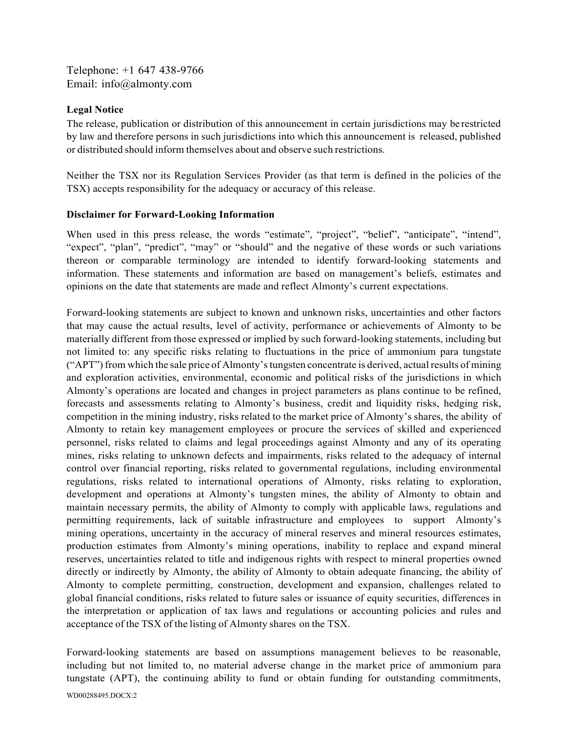Telephone: +1 647 438-9766 Email: [info@almonty.com](mailto:info@almonty.com)

## **Legal Notice**

The release, publication or distribution of this announcement in certain jurisdictions may be restricted by law and therefore persons in such jurisdictions into which this announcement is released, published or distributed should inform themselves about and observe such restrictions.

Neither the TSX nor its Regulation Services Provider (as that term is defined in the policies of the TSX) accepts responsibility for the adequacy or accuracy of this release.

## **Disclaimer for Forward-Looking Information**

When used in this press release, the words "estimate", "project", "belief", "anticipate", "intend", "expect", "plan", "predict", "may" or "should" and the negative of these words or such variations thereon or comparable terminology are intended to identify forward-looking statements and information. These statements and information are based on management's beliefs, estimates and opinions on the date that statements are made and reflect Almonty's current expectations.

Forward-looking statements are subject to known and unknown risks, uncertainties and other factors that may cause the actual results, level of activity, performance or achievements of Almonty to be materially different from those expressed or implied by such forward-looking statements, including but not limited to: any specific risks relating to fluctuations in the price of ammonium para tungstate ("APT") from which the sale price of Almonty's tungsten concentrate is derived, actual results of mining and exploration activities, environmental, economic and political risks of the jurisdictions in which Almonty's operations are located and changes in project parameters as plans continue to be refined, forecasts and assessments relating to Almonty's business, credit and liquidity risks, hedging risk, competition in the mining industry, risks related to the market price of Almonty's shares, the ability of Almonty to retain key management employees or procure the services of skilled and experienced personnel, risks related to claims and legal proceedings against Almonty and any of its operating mines, risks relating to unknown defects and impairments, risks related to the adequacy of internal control over financial reporting, risks related to governmental regulations, including environmental regulations, risks related to international operations of Almonty, risks relating to exploration, development and operations at Almonty's tungsten mines, the ability of Almonty to obtain and maintain necessary permits, the ability of Almonty to comply with applicable laws, regulations and permitting requirements, lack of suitable infrastructure and employees to support Almonty's mining operations, uncertainty in the accuracy of mineral reserves and mineral resources estimates, production estimates from Almonty's mining operations, inability to replace and expand mineral reserves, uncertainties related to title and indigenous rights with respect to mineral properties owned directly or indirectly by Almonty, the ability of Almonty to obtain adequate financing, the ability of Almonty to complete permitting, construction, development and expansion, challenges related to global financial conditions, risks related to future sales or issuance of equity securities, differences in the interpretation or application of tax laws and regulations or accounting policies and rules and acceptance of the TSX of the listing of Almonty shares on the TSX.

Forward-looking statements are based on assumptions management believes to be reasonable, including but not limited to, no material adverse change in the market price of ammonium para tungstate (APT), the continuing ability to fund or obtain funding for outstanding commitments,